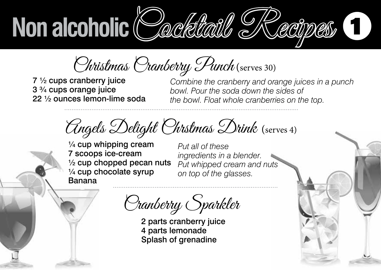Christmas Cranberry Punch (serves 30)

7 ½ cups cranberry juice 3 ¾ cups orange juice 22 ½ ounces lemon-lime soda *Combine the cranberry and orange juices in a punch bowl. Pour the soda down the sides of*  the bowl. Float whole cranberries on the top.

Angels Delight Chrstmas Drink (serves 4)

*ries on the top.*

¼ cup whipping cream 7 scoops ice-cream  $\frac{1}{2}$  cup chopped pecan nuts ¼ cup chocolate syrup Banana

*Put all of these ingredients in a blender. Put whipped cream and nuts on top of the glasses.*

Cranberry Sparkler

2 parts cranberry juice 4 parts lemonade Splash of grenadine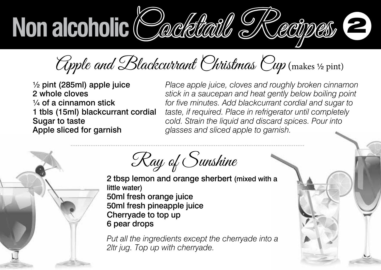Apple and Blackcurrant Christmas Cup (makes ½ pint)

½ pint (285ml) apple juice 2 whole cloves ¼ of a cinnamon stick 1 tbls (15ml) blackcurrant cordial Sugar to taste Apple sliced for garnish

*Place apple juice, cloves and roughly broken cinnamon stick in a saucepan and heat gently below boiling point for five minutes. Add blackcurrant cordial and sugar to taste, if required. Place in refrigerator until completely cold. Strain the liquid and discard spices. Pour into glasses and sliced apple to garnish.*

*Strain the liquid and discard spices. Pour into glasses*  Ray of Sunshine

2 tbsp lemon and orange sherbert (mixed with a little water) 50ml fresh orange juice 50ml fresh pineapple juice Cherryade to top up 6 pear drops

*Put all the ingredients except the cherryade into a 2ltr jug. Top up with cherryade.*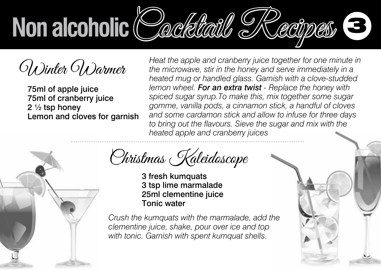

Winter Warmer

75ml of apple juice 75ml of cranberry juice 2 ½ tsp honey Lemon and cloves for garnish *Heat the apple and cranberry juice together for one minute in the microwave, stir in the honey and serve immediately in a heated mug or handled glass. Garnish with a clove-studded lemon wheel. For an extra twist - Replace the honey with spiced sugar syrup.To make this, mix together some sugar gomme, vanilla pods, a cinnamon stick, a handful of cloves and some cardamon stick and allow to infuse for three days to bring out the flavours. Sieve the sugar and mix with the heated apple and cranberry juices*



Christmas Kaleidoscope

3 fresh kumquats 3 tsp lime marmalade 25ml clementine juice Tonic water

*Crush the kumquats with the marmalade, add the clementine juice, shake, pour over ice and top with tonic. Garnish with spent kumquat shells.*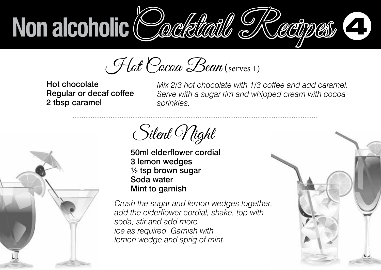Hot Cocoa Bean (serves 1)

Hot chocolate Regular or decaf coffee 2 tbsp caramel

*Mix 2/3 hot chocolate with 1/3 coffee and add caramel. Serve with a sugar rim and whipped cream with cocoa sprinkles.* 

Silent *Night* 

50ml elderflower cordial 3 lemon wedges  $\frac{1}{2}$  tsp brown sugar Soda water Mint to garnish

*Crush the sugar and lemon wedges together, add the elderflower cordial, shake, top with soda, stir and add more ice as required. Garnish with lemon wedge and sprig of mint.*



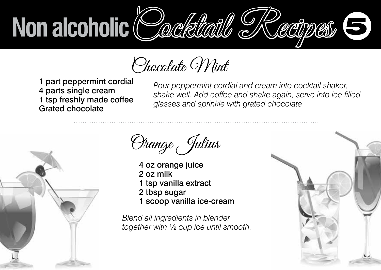Chocolate Mint

1 part peppermint cordial 4 parts single cream 1 tsp freshly made coffee Grated chocolate

*Pour peppermint cordial and cream into cocktail shaker, shake well. Add coffee and shake again, serve into ice filled glasses and sprinkle with grated chocolate*



Orange Julius

- 4 oz orange juice 2 oz milk 1 tsp vanilla extract 2 tbsp sugar
- 1 scoop vanilla ice-cream

*Blend all ingredients in blender together with* ½ *cup ice until smooth.*

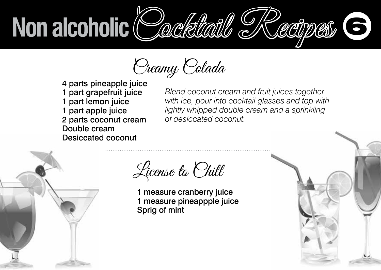Creamy Colada

4 parts pineapple juice 1 part grapefruit juice 1 part lemon juice 1 part apple juice 2 parts coconut cream Double cream Desiccated coconut

*Blend coconut cream and fruit juices together with ice, pour into cocktail glasses and top with lightly whipped double cream and a sprinkling of desiccated coconut.*



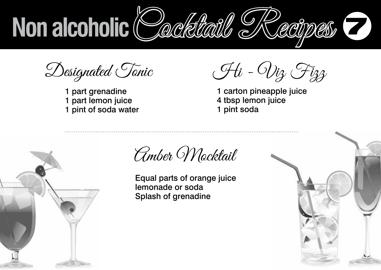

Designated Tonic

1 part grenadine 1 part lemon juice 1 pint of soda water

Hi - Viz Fizz

1 carton pineapple juice 4 tbsp lemon juice 1 pint soda



Amber Mocktail

Equal parts of orange juice lemonade or soda Splash of grenadine